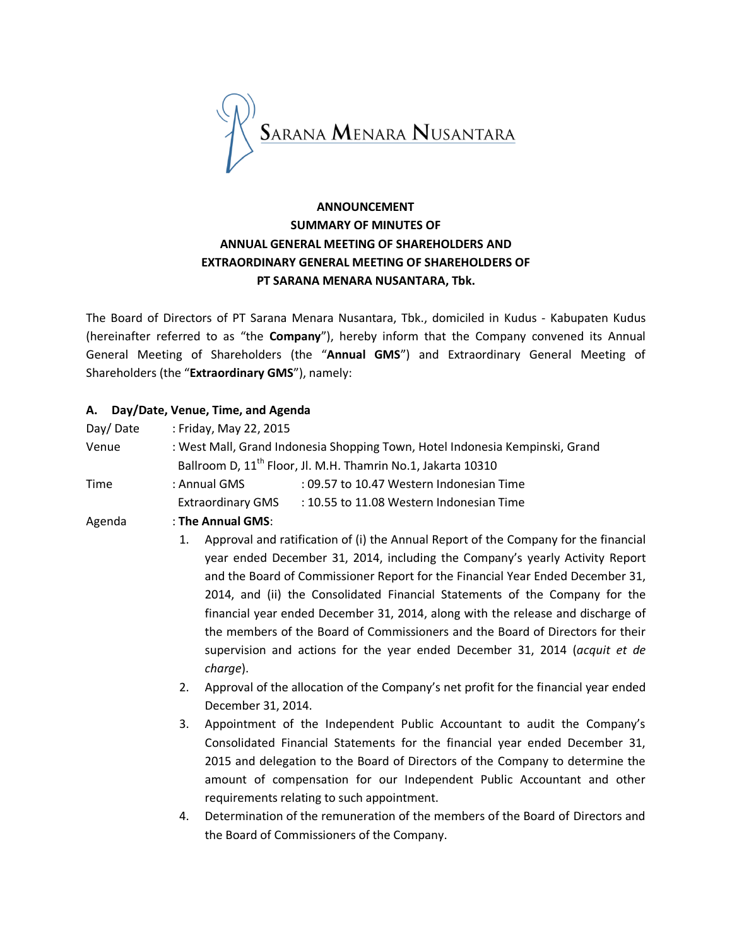

# **ANNOUNCEMENT SUMMARY OF MINUTES OF ANNUAL GENERAL MEETING OF SHAREHOLDERS AND EXTRAORDINARY GENERAL MEETING OF SHAREHOLDERS OF PT SARANA MENARA NUSANTARA, Tbk.**

The Board of Directors of PT Sarana Menara Nusantara, Tbk., domiciled in Kudus - Kabupaten Kudus (hereinafter referred to as "the **Company**"), hereby inform that the Company convened its Annual General Meeting of Shareholders (the "**Annual GMS**") and Extraordinary General Meeting of Shareholders (the "**Extraordinary GMS**"), namely:

### **A. Day/Date, Venue, Time, and Agenda**

| Day/Date    | : Friday, May 22, 2015                                                                                                                                                                                                                                                                                                                                                                                                                                                                                                                                                                                                                                                                                                       |  |  |
|-------------|------------------------------------------------------------------------------------------------------------------------------------------------------------------------------------------------------------------------------------------------------------------------------------------------------------------------------------------------------------------------------------------------------------------------------------------------------------------------------------------------------------------------------------------------------------------------------------------------------------------------------------------------------------------------------------------------------------------------------|--|--|
| Venue       | : West Mall, Grand Indonesia Shopping Town, Hotel Indonesia Kempinski, Grand                                                                                                                                                                                                                                                                                                                                                                                                                                                                                                                                                                                                                                                 |  |  |
|             | Ballroom D, 11 <sup>th</sup> Floor, Jl. M.H. Thamrin No.1, Jakarta 10310                                                                                                                                                                                                                                                                                                                                                                                                                                                                                                                                                                                                                                                     |  |  |
| <b>Time</b> | : Annual GMS<br>: 09.57 to 10.47 Western Indonesian Time                                                                                                                                                                                                                                                                                                                                                                                                                                                                                                                                                                                                                                                                     |  |  |
|             | <b>Extraordinary GMS</b><br>: 10.55 to 11.08 Western Indonesian Time                                                                                                                                                                                                                                                                                                                                                                                                                                                                                                                                                                                                                                                         |  |  |
| Agenda      | : The Annual GMS:                                                                                                                                                                                                                                                                                                                                                                                                                                                                                                                                                                                                                                                                                                            |  |  |
|             | Approval and ratification of (i) the Annual Report of the Company for the financial<br>1.<br>year ended December 31, 2014, including the Company's yearly Activity Report<br>and the Board of Commissioner Report for the Financial Year Ended December 31,<br>2014, and (ii) the Consolidated Financial Statements of the Company for the<br>financial year ended December 31, 2014, along with the release and discharge of<br>the members of the Board of Commissioners and the Board of Directors for their<br>supervision and actions for the year ended December 31, 2014 (acquit et de<br>charge).<br>Approval of the allocation of the Company's net profit for the financial year ended<br>2.<br>December 31, 2014. |  |  |
|             |                                                                                                                                                                                                                                                                                                                                                                                                                                                                                                                                                                                                                                                                                                                              |  |  |

- 3. Appointment of the Independent Public Accountant to audit the Company's Consolidated Financial Statements for the financial year ended December 31, 2015 and delegation to the Board of Directors of the Company to determine the amount of compensation for our Independent Public Accountant and other requirements relating to such appointment.
- 4. Determination of the remuneration of the members of the Board of Directors and the Board of Commissioners of the Company.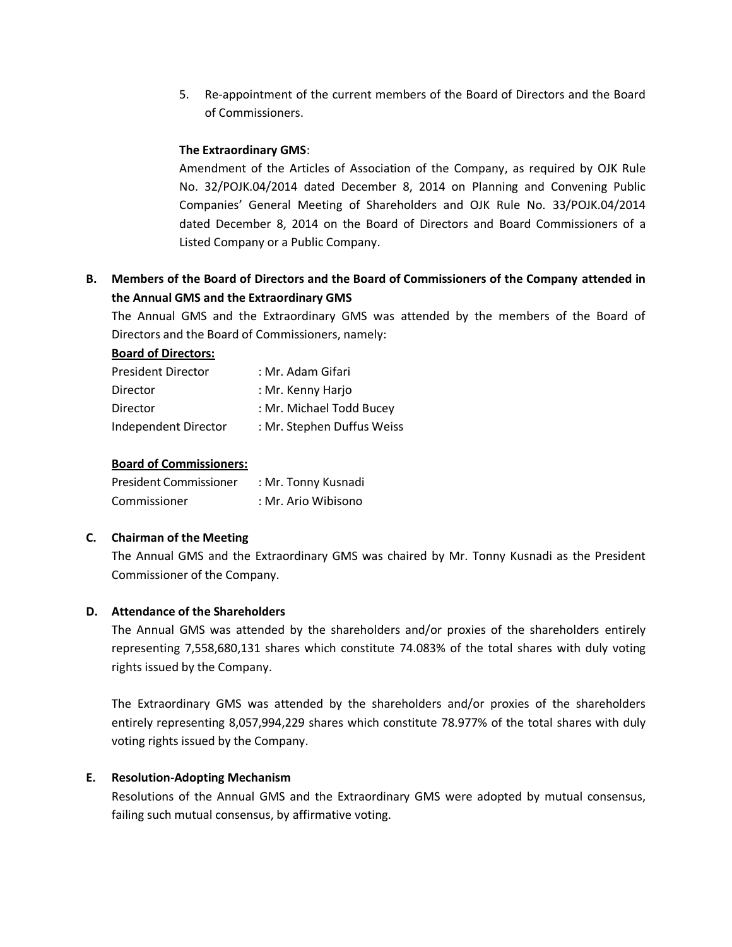5. Re-appointment of the current members of the Board of Directors and the Board of Commissioners.

### **The Extraordinary GMS**:

Amendment of the Articles of Association of the Company, as required by OJK Rule No. 32/POJK.04/2014 dated December 8, 2014 on Planning and Convening Public Companies' General Meeting of Shareholders and OJK Rule No. 33/POJK.04/2014 dated December 8, 2014 on the Board of Directors and Board Commissioners of a Listed Company or a Public Company.

## **B. Members of the Board of Directors and the Board of Commissioners of the Company attended in the Annual GMS and the Extraordinary GMS**

The Annual GMS and the Extraordinary GMS was attended by the members of the Board of Directors and the Board of Commissioners, namely:

#### **Board of Directors:**

| <b>President Director</b> | : Mr. Adam Gifari          |
|---------------------------|----------------------------|
| Director                  | : Mr. Kenny Harjo          |
| Director                  | : Mr. Michael Todd Bucey   |
| Independent Director      | : Mr. Stephen Duffus Weiss |

### **Board of Commissioners:**

| President Commissioner | : Mr. Tonny Kusnadi |
|------------------------|---------------------|
| Commissioner           | : Mr. Ario Wibisono |

### **C. Chairman of the Meeting**

The Annual GMS and the Extraordinary GMS was chaired by Mr. Tonny Kusnadi as the President Commissioner of the Company.

### **D. Attendance of the Shareholders**

The Annual GMS was attended by the shareholders and/or proxies of the shareholders entirely representing 7,558,680,131 shares which constitute 74.083% of the total shares with duly voting rights issued by the Company.

The Extraordinary GMS was attended by the shareholders and/or proxies of the shareholders entirely representing 8,057,994,229 shares which constitute 78.977% of the total shares with duly voting rights issued by the Company.

### **E. Resolution-Adopting Mechanism**

Resolutions of the Annual GMS and the Extraordinary GMS were adopted by mutual consensus, failing such mutual consensus, by affirmative voting.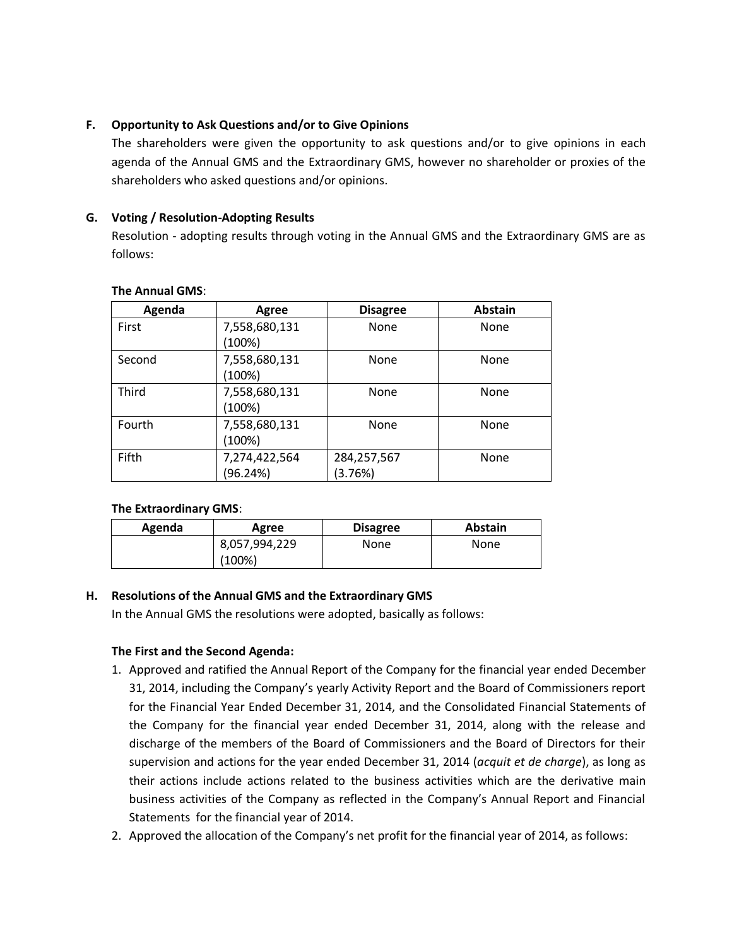### **F. Opportunity to Ask Questions and/or to Give Opinions**

The shareholders were given the opportunity to ask questions and/or to give opinions in each agenda of the Annual GMS and the Extraordinary GMS, however no shareholder or proxies of the shareholders who asked questions and/or opinions.

### **G. Voting / Resolution-Adopting Results**

Resolution - adopting results through voting in the Annual GMS and the Extraordinary GMS are as follows:

| Agenda | Agree         | <b>Disagree</b> | <b>Abstain</b> |
|--------|---------------|-----------------|----------------|
| First  | 7,558,680,131 | None            | None           |
|        | (100%)        |                 |                |
| Second | 7,558,680,131 | None            | None           |
|        | (100%)        |                 |                |
| Third  | 7,558,680,131 | None            | None           |
|        | (100%)        |                 |                |
| Fourth | 7,558,680,131 | None            | None           |
|        | (100%)        |                 |                |
| Fifth  | 7,274,422,564 | 284,257,567     | None           |
|        | (96.24%)      | (3.76%)         |                |

#### **The Annual GMS**:

### **The Extraordinary GMS**:

| Agenda | Agree         | <b>Disagree</b> | <b>Abstain</b> |
|--------|---------------|-----------------|----------------|
|        | 8,057,994,229 | None            | None           |
|        | $(100\%)$     |                 |                |

### **H. Resolutions of the Annual GMS and the Extraordinary GMS**

In the Annual GMS the resolutions were adopted, basically as follows:

### **The First and the Second Agenda:**

- 1. Approved and ratified the Annual Report of the Company for the financial year ended December 31, 2014, including the Company's yearly Activity Report and the Board of Commissioners report for the Financial Year Ended December 31, 2014, and the Consolidated Financial Statements of the Company for the financial year ended December 31, 2014, along with the release and discharge of the members of the Board of Commissioners and the Board of Directors for their supervision and actions for the year ended December 31, 2014 (*acquit et de charge*), as long as their actions include actions related to the business activities which are the derivative main business activities of the Company as reflected in the Company's Annual Report and Financial Statements for the financial year of 2014.
- 2. Approved the allocation of the Company's net profit for the financial year of 2014, as follows: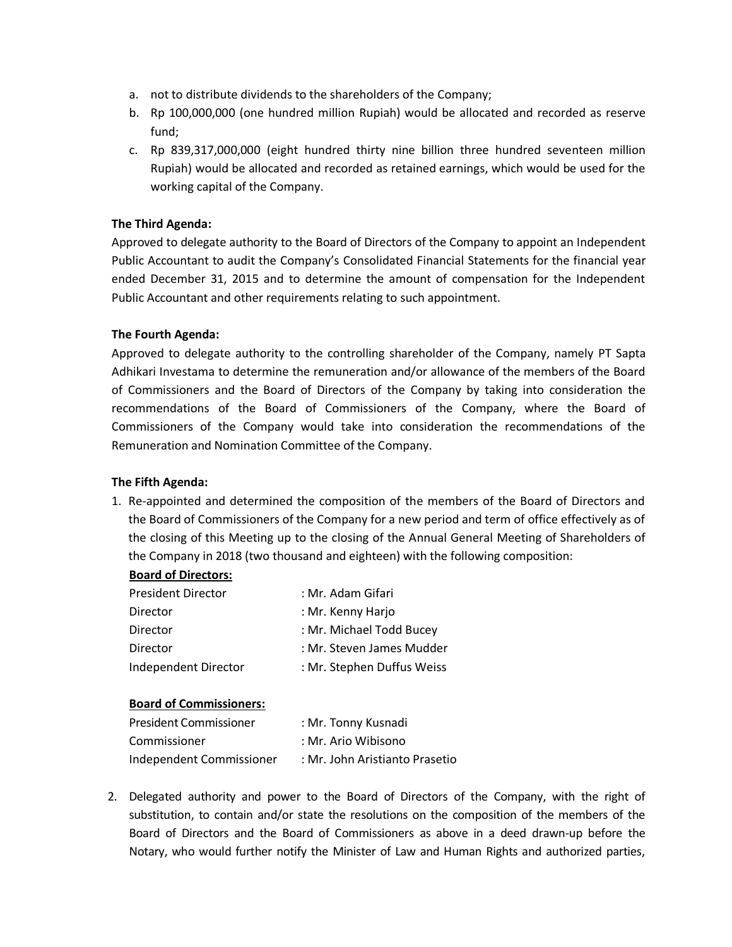- a. not to distribute dividends to the shareholders of the Company;
- b. Rp 100,000,000 (one hundred million Rupiah) would be allocated and recorded as reserve fund;
- c. Rp 839,317,000,000 (eight hundred thirty nine billion three hundred seventeen million Rupiah) would be allocated and recorded as retained earnings, which would be used for the working capital of the Company.

### **The Third Agenda:**

Approved to delegate authority to the Board of Directors of the Company to appoint an Independent Public Accountant to audit the Company's Consolidated Financial Statements for the financial year ended December 31, 2015 and to determine the amount of compensation for the Independent Public Accountant and other requirements relating to such appointment.

### **The Fourth Agenda:**

Approved to delegate authority to the controlling shareholder of the Company, namely PT Sapta Adhikari Investama to determine the remuneration and/or allowance of the members of the Board of Commissioners and the Board of Directors of the Company by taking into consideration the recommendations of the Board of Commissioners of the Company, where the Board of Commissioners of the Company would take into consideration the recommendations of the Remuneration and Nomination Committee of the Company.

### **The Fifth Agenda:**

1. Re-appointed and determined the composition of the members of the Board of Directors and the Board of Commissioners of the Company for a new period and term of office effectively as of the closing of this Meeting up to the closing of the Annual General Meeting of Shareholders of the Company in 2018 (two thousand and eighteen) with the following composition:

### **Board of Directors:**

| <b>President Director</b> | : Mr. Adam Gifari          |
|---------------------------|----------------------------|
| Director                  | : Mr. Kenny Harjo          |
| Director                  | : Mr. Michael Todd Bucey   |
| <b>Director</b>           | : Mr. Steven James Mudder  |
| Independent Director      | : Mr. Stephen Duffus Weiss |

### **Board of Commissioners:**

| President Commissioner   | : Mr. Tonny Kusnadi            |
|--------------------------|--------------------------------|
| Commissioner             | : Mr. Ario Wibisono            |
| Independent Commissioner | : Mr. John Aristianto Prasetio |

2. Delegated authority and power to the Board of Directors of the Company, with the right of substitution, to contain and/or state the resolutions on the composition of the members of the Board of Directors and the Board of Commissioners as above in a deed drawn-up before the Notary, who would further notify the Minister of Law and Human Rights and authorized parties,